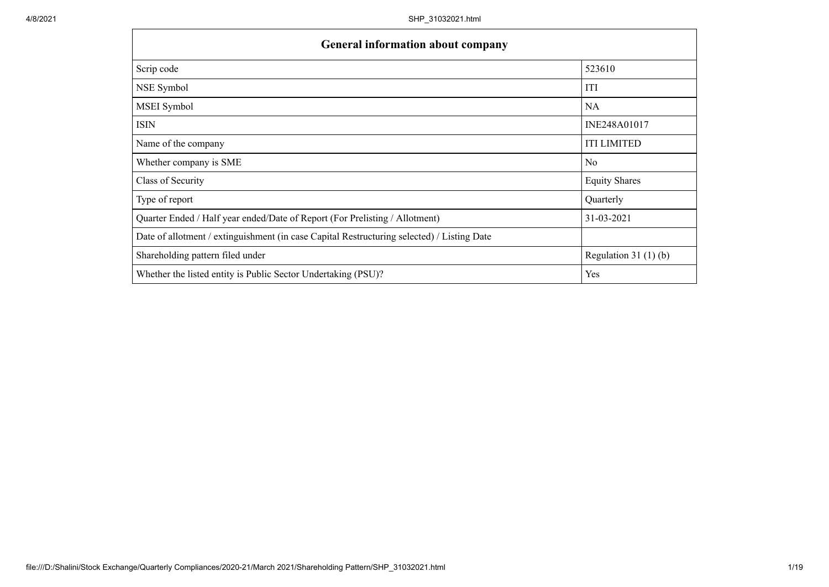| <b>General information about company</b>                                                   |                       |  |  |  |  |  |
|--------------------------------------------------------------------------------------------|-----------------------|--|--|--|--|--|
| Scrip code                                                                                 | 523610                |  |  |  |  |  |
| NSE Symbol                                                                                 | <b>ITI</b>            |  |  |  |  |  |
| MSEI Symbol                                                                                | <b>NA</b>             |  |  |  |  |  |
| <b>ISIN</b>                                                                                | INE248A01017          |  |  |  |  |  |
| Name of the company                                                                        | <b>ITI LIMITED</b>    |  |  |  |  |  |
| Whether company is SME                                                                     | N <sub>0</sub>        |  |  |  |  |  |
| Class of Security                                                                          | <b>Equity Shares</b>  |  |  |  |  |  |
| Type of report                                                                             | Quarterly             |  |  |  |  |  |
| Quarter Ended / Half year ended/Date of Report (For Prelisting / Allotment)                | 31-03-2021            |  |  |  |  |  |
| Date of allotment / extinguishment (in case Capital Restructuring selected) / Listing Date |                       |  |  |  |  |  |
| Shareholding pattern filed under                                                           | Regulation $31(1)(b)$ |  |  |  |  |  |
| Whether the listed entity is Public Sector Undertaking (PSU)?                              | Yes                   |  |  |  |  |  |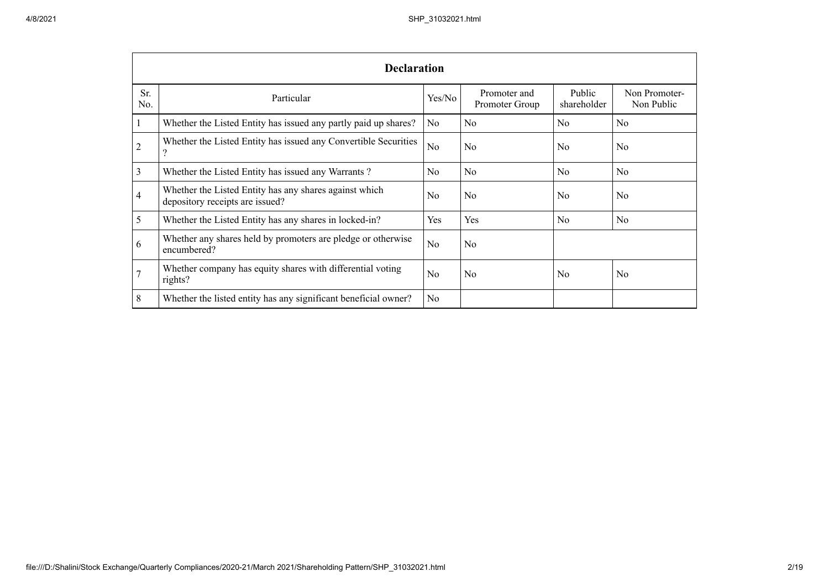|                | <b>Declaration</b>                                                                        |                |                                |                       |                             |  |  |  |
|----------------|-------------------------------------------------------------------------------------------|----------------|--------------------------------|-----------------------|-----------------------------|--|--|--|
| Sr.<br>No.     | Particular                                                                                | Yes/No         | Promoter and<br>Promoter Group | Public<br>shareholder | Non Promoter-<br>Non Public |  |  |  |
|                | Whether the Listed Entity has issued any partly paid up shares?                           | N <sub>o</sub> | N <sub>o</sub>                 | N <sub>o</sub>        | No                          |  |  |  |
| $\overline{2}$ | Whether the Listed Entity has issued any Convertible Securities<br>റ                      | No             | No                             | N <sub>0</sub>        | N <sub>0</sub>              |  |  |  |
| 3              | Whether the Listed Entity has issued any Warrants?                                        | N <sub>o</sub> | No.                            | N <sub>o</sub>        | N <sub>o</sub>              |  |  |  |
| 4              | Whether the Listed Entity has any shares against which<br>depository receipts are issued? | N <sub>0</sub> | No                             | No                    | No.                         |  |  |  |
| 5              | Whether the Listed Entity has any shares in locked-in?                                    | Yes            | Yes                            | N <sub>o</sub>        | N <sub>o</sub>              |  |  |  |
| 6              | Whether any shares held by promoters are pledge or otherwise<br>encumbered?               | No             | No                             |                       |                             |  |  |  |
| 7              | Whether company has equity shares with differential voting<br>rights?                     | N <sub>0</sub> | No                             | <b>No</b>             | No                          |  |  |  |
| 8              | Whether the listed entity has any significant beneficial owner?                           | N <sub>0</sub> |                                |                       |                             |  |  |  |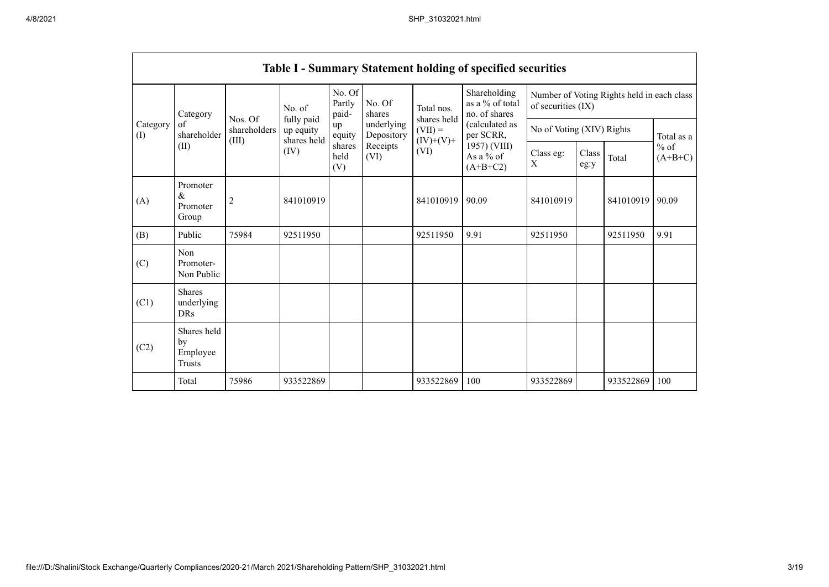|                               | <b>Table I - Summary Statement holding of specified securities</b> |                                  |                                        |                           |                                                                  |                                                               |                                                                                                                              |                                                                  |               |           |                      |
|-------------------------------|--------------------------------------------------------------------|----------------------------------|----------------------------------------|---------------------------|------------------------------------------------------------------|---------------------------------------------------------------|------------------------------------------------------------------------------------------------------------------------------|------------------------------------------------------------------|---------------|-----------|----------------------|
| Category<br>of<br>(I)<br>(II) | Category                                                           |                                  | No. of                                 | No. Of<br>Partly<br>paid- | No. Of<br>shares<br>underlying<br>Depository<br>Receipts<br>(VI) | Total nos.<br>shares held<br>$(VII) =$<br>$(IV)+(V)+$<br>(VI) | Shareholding<br>as a % of total<br>no. of shares<br>(calculated as<br>per SCRR,<br>1957) (VIII)<br>As a $%$ of<br>$(A+B+C2)$ | Number of Voting Rights held in each class<br>of securities (IX) |               |           |                      |
|                               | shareholder                                                        | Nos. Of<br>shareholders<br>(III) | fully paid<br>up equity<br>shares held | up<br>equity              |                                                                  |                                                               |                                                                                                                              | No of Voting (XIV) Rights                                        |               |           | Total as a           |
|                               |                                                                    |                                  | (IV)                                   | shares<br>held<br>(V)     |                                                                  |                                                               |                                                                                                                              | Class eg:<br>X                                                   | Class<br>eg:y | Total     | $\%$ of<br>$(A+B+C)$ |
| (A)                           | Promoter<br>$\&$<br>Promoter<br>Group                              | $\overline{c}$                   | 841010919                              |                           |                                                                  | 841010919                                                     | 90.09                                                                                                                        | 841010919                                                        |               | 841010919 | 90.09                |
| (B)                           | Public                                                             | 75984                            | 92511950                               |                           |                                                                  | 92511950                                                      | 9.91                                                                                                                         | 92511950                                                         |               | 92511950  | 9.91                 |
| (C)                           | Non<br>Promoter-<br>Non Public                                     |                                  |                                        |                           |                                                                  |                                                               |                                                                                                                              |                                                                  |               |           |                      |
| (C1)                          | <b>Shares</b><br>underlying<br><b>DRs</b>                          |                                  |                                        |                           |                                                                  |                                                               |                                                                                                                              |                                                                  |               |           |                      |
| (C2)                          | Shares held<br>by<br>Employee<br>Trusts                            |                                  |                                        |                           |                                                                  |                                                               |                                                                                                                              |                                                                  |               |           |                      |
|                               | Total                                                              | 75986                            | 933522869                              |                           |                                                                  | 933522869                                                     | 100                                                                                                                          | 933522869                                                        |               | 933522869 | 100                  |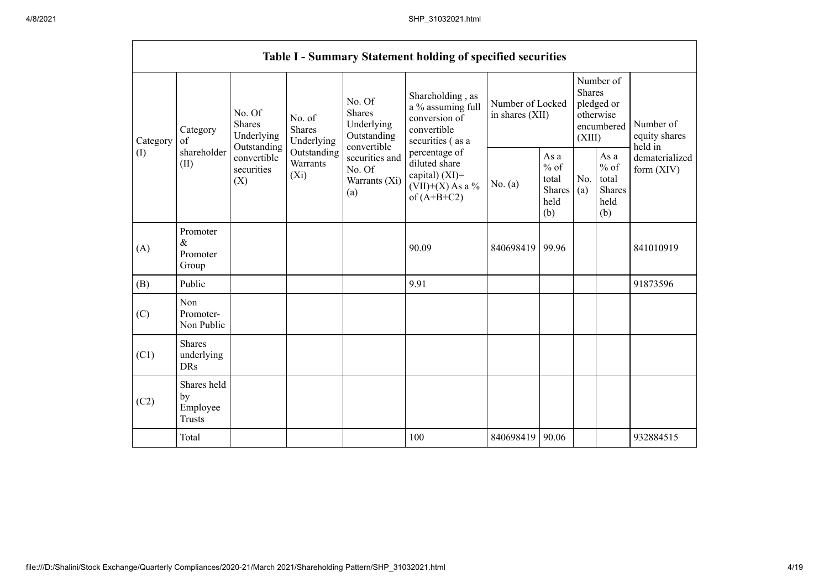|                 | Table I - Summary Statement holding of specified securities |                                                                                              |                                       |                                                                                                                         |                                                                                                                                                                                         |                                     |                                                         |                                                                               |                                                  |                                       |
|-----------------|-------------------------------------------------------------|----------------------------------------------------------------------------------------------|---------------------------------------|-------------------------------------------------------------------------------------------------------------------------|-----------------------------------------------------------------------------------------------------------------------------------------------------------------------------------------|-------------------------------------|---------------------------------------------------------|-------------------------------------------------------------------------------|--------------------------------------------------|---------------------------------------|
| Category<br>(1) | Category<br>of<br>shareholder<br>(II)                       | No. Of<br>Shares<br>Underlying<br>Outstanding<br>convertible<br>securities<br>$(X_i)$<br>(X) | No. of<br><b>Shares</b><br>Underlying | No. Of<br><b>Shares</b><br>Underlying<br>Outstanding<br>convertible<br>securities and<br>No. Of<br>Warrants (Xi)<br>(a) | Shareholding, as<br>a % assuming full<br>conversion of<br>convertible<br>securities (as a<br>percentage of<br>diluted share<br>capital) $(XI)$ =<br>$(VII)+(X)$ As a %<br>of $(A+B+C2)$ | Number of Locked<br>in shares (XII) |                                                         | Number of<br><b>Shares</b><br>pledged or<br>otherwise<br>encumbered<br>(XIII) |                                                  | Number of<br>equity shares<br>held in |
|                 |                                                             |                                                                                              | Outstanding<br>Warrants               |                                                                                                                         |                                                                                                                                                                                         | No. $(a)$                           | As a<br>$%$ of<br>total<br><b>Shares</b><br>held<br>(b) | No.<br>(a)                                                                    | As a<br>$%$ of<br>total<br>Shares<br>held<br>(b) | dematerialized<br>form $(XIV)$        |
| (A)             | Promoter<br>$\&$<br>Promoter<br>Group                       |                                                                                              |                                       |                                                                                                                         | 90.09                                                                                                                                                                                   | 840698419                           | 99.96                                                   |                                                                               |                                                  | 841010919                             |
| (B)             | Public                                                      |                                                                                              |                                       |                                                                                                                         | 9.91                                                                                                                                                                                    |                                     |                                                         |                                                                               |                                                  | 91873596                              |
| (C)             | Non<br>Promoter-<br>Non Public                              |                                                                                              |                                       |                                                                                                                         |                                                                                                                                                                                         |                                     |                                                         |                                                                               |                                                  |                                       |
| (C1)            | <b>Shares</b><br>underlying<br><b>DRs</b>                   |                                                                                              |                                       |                                                                                                                         |                                                                                                                                                                                         |                                     |                                                         |                                                                               |                                                  |                                       |
| (C2)            | Shares held<br>by<br>Employee<br><b>Trusts</b>              |                                                                                              |                                       |                                                                                                                         |                                                                                                                                                                                         |                                     |                                                         |                                                                               |                                                  |                                       |
|                 | Total                                                       |                                                                                              |                                       |                                                                                                                         | 100                                                                                                                                                                                     | 840698419                           | 90.06                                                   |                                                                               |                                                  | 932884515                             |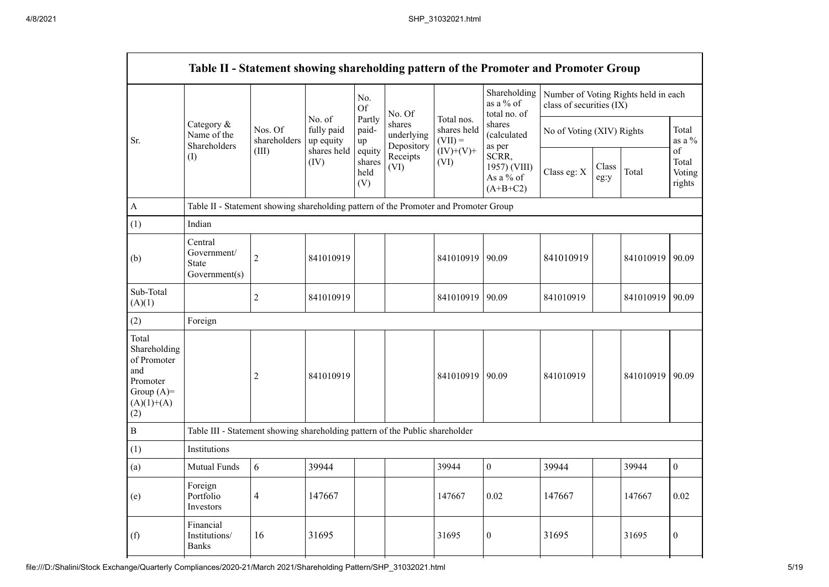|                                                                                                | Table II - Statement showing shareholding pattern of the Promoter and Promoter Group |                                  |                                                          |                                 |                                    |                                        |                                                                              |                           |               |                                      |                                 |
|------------------------------------------------------------------------------------------------|--------------------------------------------------------------------------------------|----------------------------------|----------------------------------------------------------|---------------------------------|------------------------------------|----------------------------------------|------------------------------------------------------------------------------|---------------------------|---------------|--------------------------------------|---------------------------------|
|                                                                                                | Category &<br>Name of the<br>Shareholders<br>(I)                                     | Nos. Of<br>shareholders<br>(III) | No. of<br>fully paid<br>up equity<br>shares held<br>(IV) | No.<br>Of                       | No. Of                             |                                        | Shareholding<br>as a % of<br>total no. of<br>shares<br>(calculated<br>as per | class of securities (IX)  |               | Number of Voting Rights held in each |                                 |
| Sr.                                                                                            |                                                                                      |                                  |                                                          | Partly<br>paid-<br>up           | shares<br>underlying<br>Depository | Total nos.<br>shares held<br>$(VII) =$ |                                                                              | No of Voting (XIV) Rights |               |                                      | Total<br>as a $\%$              |
|                                                                                                |                                                                                      |                                  |                                                          | equity<br>shares<br>held<br>(V) | Receipts<br>(VI)                   | $(IV)+(V)+$<br>(VI)                    | SCRR,<br>1957) (VIII)<br>As a % of<br>$(A+B+C2)$                             | Class eg: X               | Class<br>eg:y | Total                                | of<br>Total<br>Voting<br>rights |
| $\boldsymbol{\rm{A}}$                                                                          | Table II - Statement showing shareholding pattern of the Promoter and Promoter Group |                                  |                                                          |                                 |                                    |                                        |                                                                              |                           |               |                                      |                                 |
| (1)                                                                                            | Indian                                                                               |                                  |                                                          |                                 |                                    |                                        |                                                                              |                           |               |                                      |                                 |
| (b)                                                                                            | Central<br>Government/<br><b>State</b><br>Government(s)                              | $\overline{c}$                   | 841010919                                                |                                 |                                    | 841010919 90.09                        |                                                                              | 841010919                 |               | 841010919 90.09                      |                                 |
| Sub-Total<br>(A)(1)                                                                            |                                                                                      | $\overline{2}$                   | 841010919                                                |                                 |                                    | 841010919 90.09                        |                                                                              | 841010919                 |               | 841010919 90.09                      |                                 |
| (2)                                                                                            | Foreign                                                                              |                                  |                                                          |                                 |                                    |                                        |                                                                              |                           |               |                                      |                                 |
| Total<br>Shareholding<br>of Promoter<br>and<br>Promoter<br>Group $(A)=$<br>$(A)(1)+(A)$<br>(2) |                                                                                      | 2                                | 841010919                                                |                                 |                                    | 841010919 90.09                        |                                                                              | 841010919                 |               | 841010919 90.09                      |                                 |
| $\, {\bf B}$                                                                                   | Table III - Statement showing shareholding pattern of the Public shareholder         |                                  |                                                          |                                 |                                    |                                        |                                                                              |                           |               |                                      |                                 |
| (1)                                                                                            | Institutions                                                                         |                                  |                                                          |                                 |                                    |                                        |                                                                              |                           |               |                                      |                                 |
| (a)                                                                                            | Mutual Funds                                                                         | 6                                | 39944                                                    |                                 |                                    | 39944                                  | $\boldsymbol{0}$                                                             | 39944                     |               | 39944                                | $\overline{0}$                  |
| (e)                                                                                            | Foreign<br>Portfolio<br>Investors                                                    | $\overline{4}$                   | 147667                                                   |                                 |                                    | 147667                                 | 0.02                                                                         | 147667                    |               | 147667                               | 0.02                            |
| (f)                                                                                            | Financial<br>Institutions/<br><b>Banks</b>                                           | 16                               | 31695                                                    |                                 |                                    | 31695                                  | $\theta$                                                                     | 31695                     |               | 31695                                | $\boldsymbol{0}$                |
|                                                                                                |                                                                                      |                                  |                                                          |                                 |                                    |                                        |                                                                              |                           |               |                                      |                                 |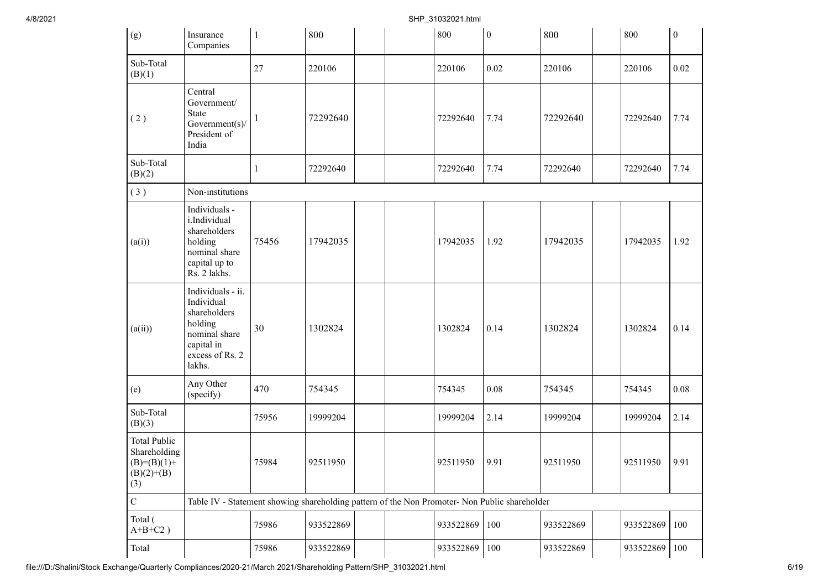4/8/2021 SHP\_31032021.html

| (g)                                                                         | Insurance<br>Companies                                                                                                 | $\mathbf{1}$ | 800                                                                                           |  | 800       | $\boldsymbol{0}$ | 800       | 800       | $\boldsymbol{0}$ |  |  |  |
|-----------------------------------------------------------------------------|------------------------------------------------------------------------------------------------------------------------|--------------|-----------------------------------------------------------------------------------------------|--|-----------|------------------|-----------|-----------|------------------|--|--|--|
| Sub-Total<br>(B)(1)                                                         |                                                                                                                        | 27           | 220106                                                                                        |  | 220106    | 0.02             | 220106    | 220106    | 0.02             |  |  |  |
| (2)                                                                         | Central<br>Government/<br><b>State</b><br>Government(s)/<br>President of<br>India                                      |              | 72292640                                                                                      |  | 72292640  | 7.74             | 72292640  | 72292640  | 7.74             |  |  |  |
| Sub-Total<br>(B)(2)                                                         |                                                                                                                        | 1            | 72292640                                                                                      |  | 72292640  | 7.74             | 72292640  | 72292640  | 7.74             |  |  |  |
| (3)                                                                         | Non-institutions                                                                                                       |              |                                                                                               |  |           |                  |           |           |                  |  |  |  |
| (a(i))                                                                      | Individuals -<br>i.Individual<br>shareholders<br>holding<br>nominal share<br>capital up to<br>Rs. 2 lakhs.             | 75456        | 17942035                                                                                      |  | 17942035  | 1.92             | 17942035  | 17942035  | 1.92             |  |  |  |
| (a(ii))                                                                     | Individuals - ii.<br>Individual<br>shareholders<br>holding<br>nominal share<br>capital in<br>excess of Rs. 2<br>lakhs. | 30           | 1302824                                                                                       |  | 1302824   | 0.14             | 1302824   | 1302824   | 0.14             |  |  |  |
| (e)                                                                         | Any Other<br>(specify)                                                                                                 | 470          | 754345                                                                                        |  | 754345    | 0.08             | 754345    | 754345    | 0.08             |  |  |  |
| Sub-Total<br>(B)(3)                                                         |                                                                                                                        | 75956        | 19999204                                                                                      |  | 19999204  | 2.14             | 19999204  | 19999204  | 2.14             |  |  |  |
| <b>Total Public</b><br>Shareholding<br>$(B)=(B)(1)+$<br>$(B)(2)+(B)$<br>(3) |                                                                                                                        | 75984        | 92511950                                                                                      |  | 92511950  | 9.91             | 92511950  | 92511950  | 9.91             |  |  |  |
| $\mathbf C$                                                                 |                                                                                                                        |              | Table IV - Statement showing shareholding pattern of the Non Promoter- Non Public shareholder |  |           |                  |           |           |                  |  |  |  |
| Total (<br>$A+B+C2$ )                                                       |                                                                                                                        | 75986        | 933522869                                                                                     |  | 933522869 | 100              | 933522869 | 933522869 | 100              |  |  |  |
| Total                                                                       |                                                                                                                        | 75986        | 933522869                                                                                     |  | 933522869 | 100              | 933522869 | 933522869 | 100              |  |  |  |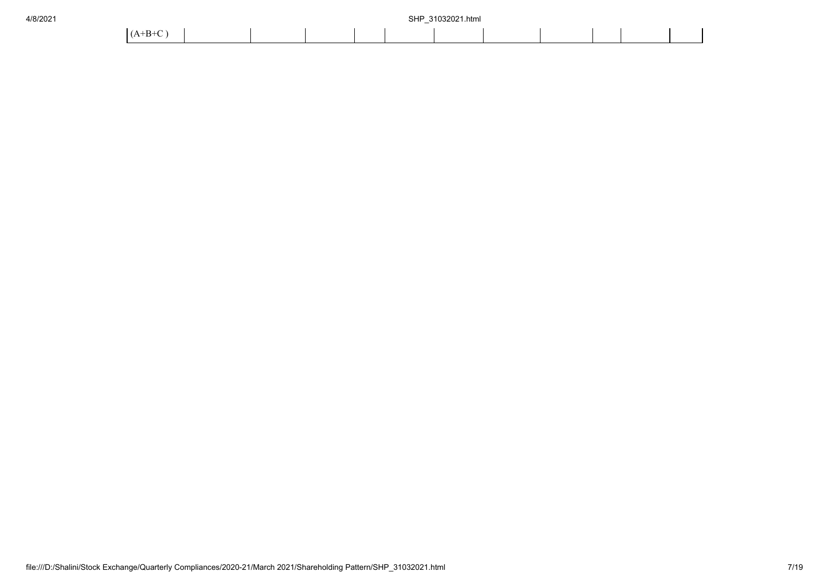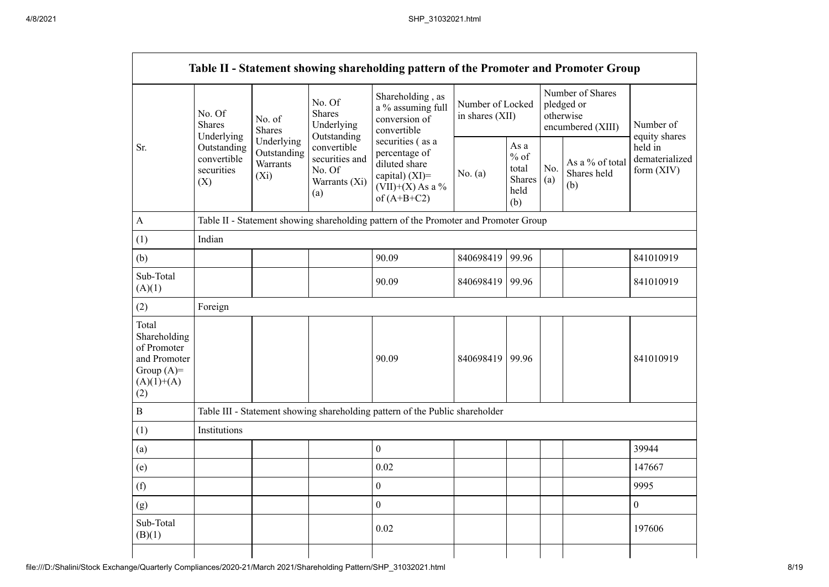|                                                                                             |                                                                                                                                                                                                                                                                                                                                                                                                                                                                                        |           | Table II - Statement showing shareholding pattern of the Promoter and Promoter Group |                                     |                                       |                                                                  |  |                  |
|---------------------------------------------------------------------------------------------|----------------------------------------------------------------------------------------------------------------------------------------------------------------------------------------------------------------------------------------------------------------------------------------------------------------------------------------------------------------------------------------------------------------------------------------------------------------------------------------|-----------|--------------------------------------------------------------------------------------|-------------------------------------|---------------------------------------|------------------------------------------------------------------|--|------------------|
|                                                                                             | Shareholding, as<br>No. Of<br>a % assuming full<br><b>Shares</b><br>No. Of<br>No. of<br>conversion of<br><b>Shares</b><br>Underlying<br>Shares<br>convertible<br>Underlying<br>Outstanding<br>Underlying<br>securities (as a<br>convertible<br>Outstanding<br>Outstanding<br>percentage of<br>securities and<br>convertible<br>Warrants<br>diluted share<br>securities<br>No. Of<br>capital) $(XI)$ =<br>$(X_i)$<br>(X)<br>Warrants (Xi)<br>$(VII)+(X)$ As a %<br>(a)<br>of $(A+B+C2)$ |           |                                                                                      | Number of Locked<br>in shares (XII) |                                       | Number of Shares<br>pledged or<br>otherwise<br>encumbered (XIII) |  | Number of        |
| Sr.                                                                                         |                                                                                                                                                                                                                                                                                                                                                                                                                                                                                        | No. $(a)$ | As a<br>$%$ of<br>total<br><b>Shares</b><br>held<br>(b)                              | No.<br>(a)                          | As a % of total<br>Shares held<br>(b) | equity shares<br>held in<br>dematerialized<br>form (XIV)         |  |                  |
| A                                                                                           |                                                                                                                                                                                                                                                                                                                                                                                                                                                                                        |           | Table II - Statement showing shareholding pattern of the Promoter and Promoter Group |                                     |                                       |                                                                  |  |                  |
| (1)                                                                                         | Indian                                                                                                                                                                                                                                                                                                                                                                                                                                                                                 |           |                                                                                      |                                     |                                       |                                                                  |  |                  |
| (b)                                                                                         |                                                                                                                                                                                                                                                                                                                                                                                                                                                                                        |           | 90.09                                                                                | 840698419                           | 99.96                                 |                                                                  |  | 841010919        |
| Sub-Total<br>(A)(1)                                                                         |                                                                                                                                                                                                                                                                                                                                                                                                                                                                                        |           | 90.09                                                                                | 840698419                           | 99.96                                 |                                                                  |  | 841010919        |
| (2)                                                                                         | Foreign                                                                                                                                                                                                                                                                                                                                                                                                                                                                                |           |                                                                                      |                                     |                                       |                                                                  |  |                  |
| Total<br>Shareholding<br>of Promoter<br>and Promoter<br>Group $(A)=$<br>$(A)(1)+(A)$<br>(2) |                                                                                                                                                                                                                                                                                                                                                                                                                                                                                        |           | 90.09                                                                                | 840698419                           | 99.96                                 |                                                                  |  | 841010919        |
| $\overline{B}$                                                                              |                                                                                                                                                                                                                                                                                                                                                                                                                                                                                        |           | Table III - Statement showing shareholding pattern of the Public shareholder         |                                     |                                       |                                                                  |  |                  |
| (1)                                                                                         | Institutions                                                                                                                                                                                                                                                                                                                                                                                                                                                                           |           |                                                                                      |                                     |                                       |                                                                  |  |                  |
| (a)                                                                                         |                                                                                                                                                                                                                                                                                                                                                                                                                                                                                        |           | $\boldsymbol{0}$                                                                     |                                     |                                       |                                                                  |  | 39944            |
| (e)                                                                                         |                                                                                                                                                                                                                                                                                                                                                                                                                                                                                        |           | 0.02                                                                                 |                                     |                                       |                                                                  |  | 147667           |
| (f)                                                                                         |                                                                                                                                                                                                                                                                                                                                                                                                                                                                                        |           | $\boldsymbol{0}$                                                                     |                                     |                                       |                                                                  |  | 9995             |
| (g)                                                                                         |                                                                                                                                                                                                                                                                                                                                                                                                                                                                                        |           | $\boldsymbol{0}$                                                                     |                                     |                                       |                                                                  |  | $\boldsymbol{0}$ |
| Sub-Total<br>(B)(1)                                                                         |                                                                                                                                                                                                                                                                                                                                                                                                                                                                                        |           | 0.02                                                                                 |                                     |                                       |                                                                  |  | 197606           |
|                                                                                             |                                                                                                                                                                                                                                                                                                                                                                                                                                                                                        |           |                                                                                      |                                     |                                       |                                                                  |  |                  |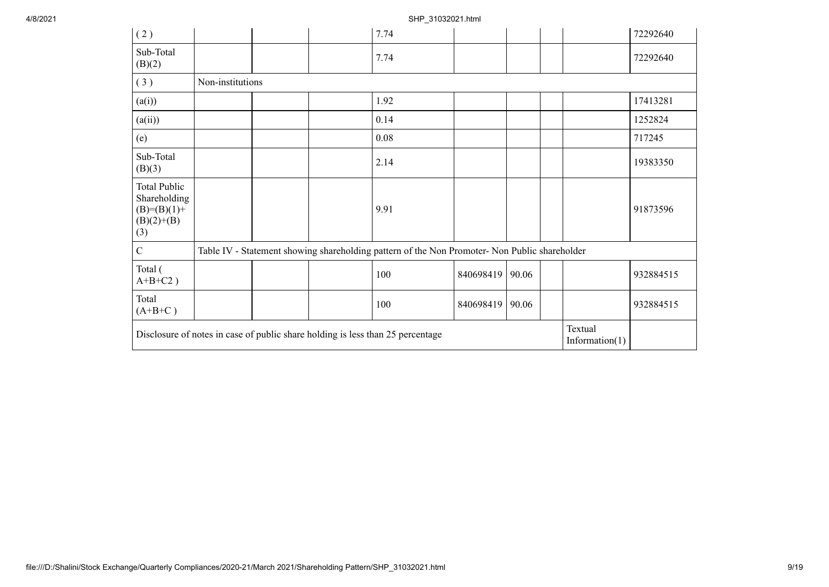## 4/8/2021 SHP\_31032021.html

| (2)                                                                         |                  |  | 7.74                                                                                          |           |       |                              | 72292640  |
|-----------------------------------------------------------------------------|------------------|--|-----------------------------------------------------------------------------------------------|-----------|-------|------------------------------|-----------|
| Sub-Total<br>(B)(2)                                                         |                  |  | 7.74                                                                                          |           |       |                              | 72292640  |
| (3)                                                                         | Non-institutions |  |                                                                                               |           |       |                              |           |
| (a(i))                                                                      |                  |  | 1.92                                                                                          |           |       |                              | 17413281  |
| (a(ii))                                                                     |                  |  | 0.14                                                                                          |           |       |                              | 1252824   |
| (e)                                                                         |                  |  | 0.08                                                                                          |           |       |                              | 717245    |
| Sub-Total<br>(B)(3)                                                         |                  |  | 2.14                                                                                          |           |       |                              | 19383350  |
| <b>Total Public</b><br>Shareholding<br>$(B)=(B)(1)+$<br>$(B)(2)+(B)$<br>(3) |                  |  | 9.91                                                                                          |           |       |                              | 91873596  |
| $\mathbf C$                                                                 |                  |  | Table IV - Statement showing shareholding pattern of the Non Promoter- Non Public shareholder |           |       |                              |           |
| Total (<br>$A+B+C2$ )                                                       |                  |  | 100                                                                                           | 840698419 | 90.06 |                              | 932884515 |
| Total<br>$(A+B+C)$                                                          |                  |  | 100                                                                                           | 840698419 | 90.06 |                              | 932884515 |
|                                                                             |                  |  | Disclosure of notes in case of public share holding is less than 25 percentage                |           |       | Textual<br>Information $(1)$ |           |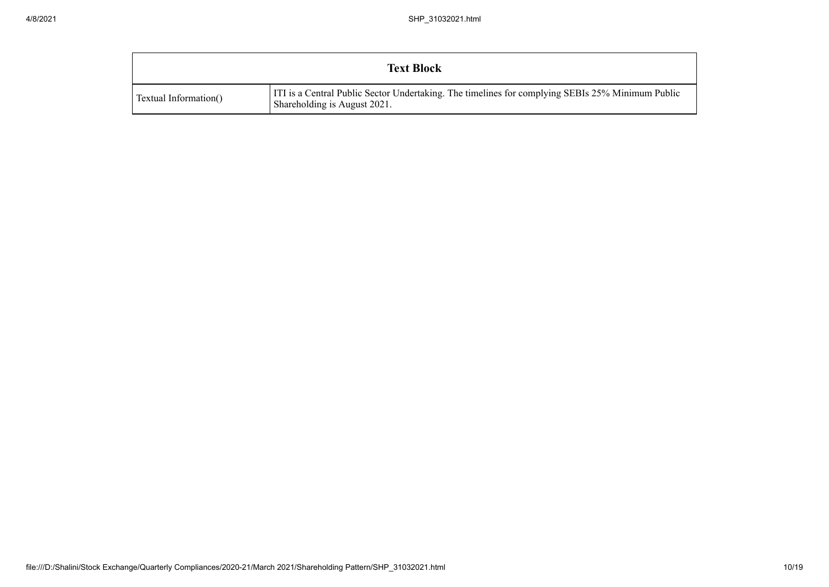| <b>Text Block</b>     |                                                                                                                                  |  |  |  |  |
|-----------------------|----------------------------------------------------------------------------------------------------------------------------------|--|--|--|--|
| Textual Information() | ITI is a Central Public Sector Undertaking. The timelines for complying SEBIs 25% Minimum Public<br>Shareholding is August 2021. |  |  |  |  |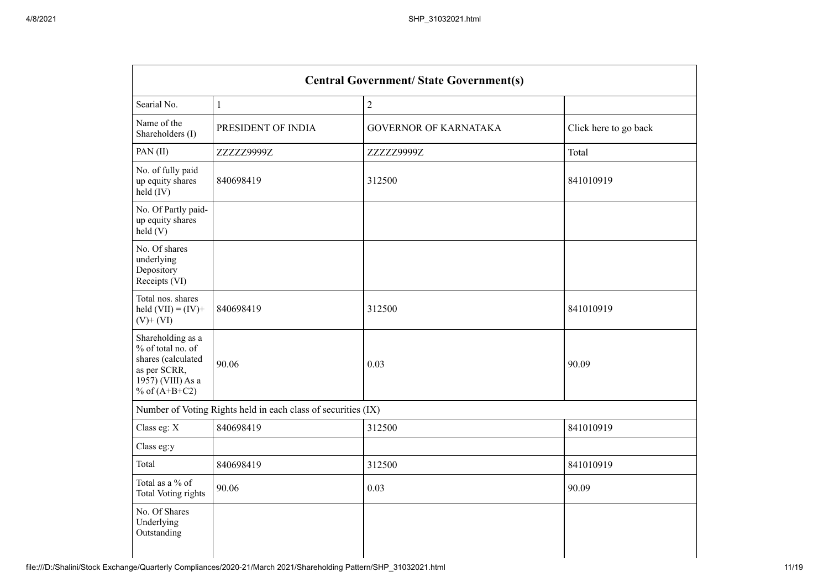| <b>Central Government/ State Government(s)</b>                                                                       |                                                               |                              |                       |  |  |  |  |
|----------------------------------------------------------------------------------------------------------------------|---------------------------------------------------------------|------------------------------|-----------------------|--|--|--|--|
| Searial No.                                                                                                          | $\mathbf{1}$                                                  | $\sqrt{2}$                   |                       |  |  |  |  |
| Name of the<br>Shareholders (I)                                                                                      | PRESIDENT OF INDIA                                            | <b>GOVERNOR OF KARNATAKA</b> | Click here to go back |  |  |  |  |
| PAN(II)                                                                                                              | ZZZZZ9999Z                                                    | ZZZZZ9999Z                   | Total                 |  |  |  |  |
| No. of fully paid<br>up equity shares<br>$held$ (IV)                                                                 | 840698419                                                     | 312500                       | 841010919             |  |  |  |  |
| No. Of Partly paid-<br>up equity shares<br>held(V)                                                                   |                                                               |                              |                       |  |  |  |  |
| No. Of shares<br>underlying<br>Depository<br>Receipts (VI)                                                           |                                                               |                              |                       |  |  |  |  |
| Total nos. shares<br>held $(VII) = (IV) +$<br>$(V)$ + $(VI)$                                                         | 840698419                                                     | 312500                       | 841010919             |  |  |  |  |
| Shareholding as a<br>% of total no. of<br>shares (calculated<br>as per SCRR,<br>1957) (VIII) As a<br>% of $(A+B+C2)$ | 90.06                                                         | 0.03                         | 90.09                 |  |  |  |  |
|                                                                                                                      | Number of Voting Rights held in each class of securities (IX) |                              |                       |  |  |  |  |
| Class eg: X                                                                                                          | 840698419                                                     | 312500                       | 841010919             |  |  |  |  |
| Class eg:y                                                                                                           |                                                               |                              |                       |  |  |  |  |
| Total                                                                                                                | 840698419                                                     | 312500                       | 841010919             |  |  |  |  |
| Total as a % of<br><b>Total Voting rights</b>                                                                        | 90.06                                                         | 0.03                         | 90.09                 |  |  |  |  |
| No. Of Shares<br>Underlying<br>Outstanding                                                                           |                                                               |                              |                       |  |  |  |  |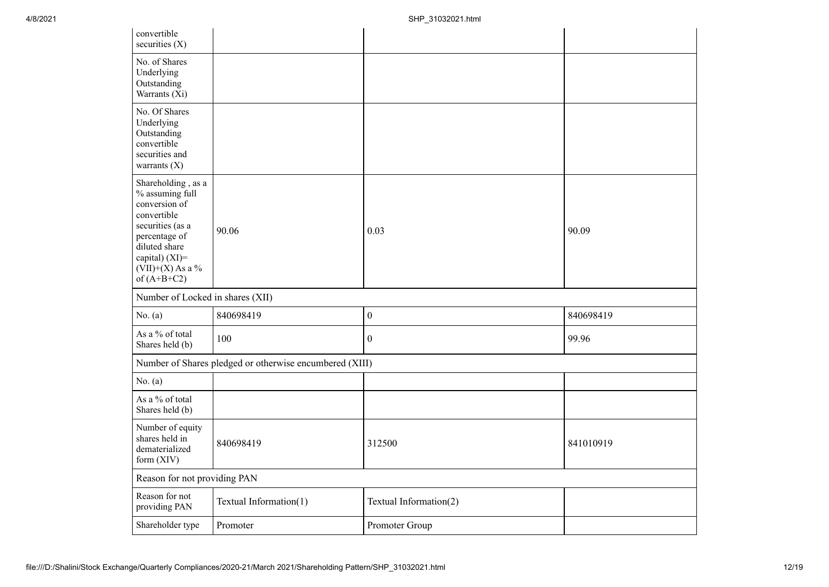| convertible<br>securities $(X)$                                                                                                                                                      |                                                         |                        |           |
|--------------------------------------------------------------------------------------------------------------------------------------------------------------------------------------|---------------------------------------------------------|------------------------|-----------|
| No. of Shares<br>Underlying<br>Outstanding<br>Warrants (Xi)                                                                                                                          |                                                         |                        |           |
| No. Of Shares<br>Underlying<br>Outstanding<br>convertible<br>securities and<br>warrants $(X)$                                                                                        |                                                         |                        |           |
| Shareholding, as a<br>% assuming full<br>conversion of<br>convertible<br>securities (as a<br>percentage of<br>diluted share<br>capital) (XI)=<br>$(VII)+(X)$ As a %<br>of $(A+B+C2)$ | 90.06                                                   | 0.03                   | 90.09     |
| Number of Locked in shares (XII)                                                                                                                                                     |                                                         |                        |           |
| No. $(a)$                                                                                                                                                                            | 840698419                                               | $\boldsymbol{0}$       | 840698419 |
| As a % of total<br>Shares held (b)                                                                                                                                                   | 100                                                     | $\boldsymbol{0}$       | 99.96     |
|                                                                                                                                                                                      | Number of Shares pledged or otherwise encumbered (XIII) |                        |           |
| No. $(a)$                                                                                                                                                                            |                                                         |                        |           |
| As a % of total<br>Shares held (b)                                                                                                                                                   |                                                         |                        |           |
| Number of equity<br>shares held in<br>dematerialized<br>form (XIV)                                                                                                                   | 840698419                                               | 312500                 | 841010919 |
| Reason for not providing PAN                                                                                                                                                         |                                                         |                        |           |
| Reason for not<br>providing PAN                                                                                                                                                      | Textual Information(1)                                  | Textual Information(2) |           |
| Shareholder type                                                                                                                                                                     | Promoter                                                | Promoter Group         |           |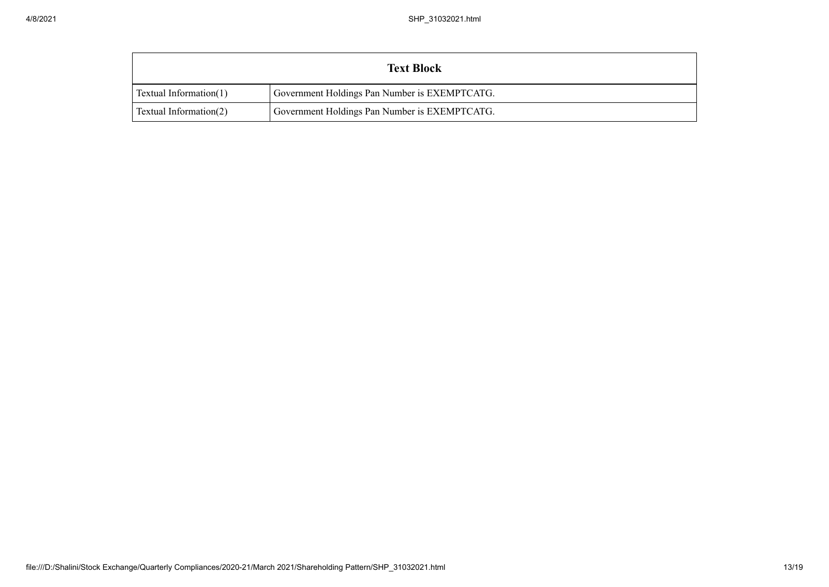|                        | <b>Text Block</b>                             |  |  |  |  |  |
|------------------------|-----------------------------------------------|--|--|--|--|--|
| Textual Information(1) | Government Holdings Pan Number is EXEMPTCATG. |  |  |  |  |  |
| Textual Information(2) | Government Holdings Pan Number is EXEMPTCATG. |  |  |  |  |  |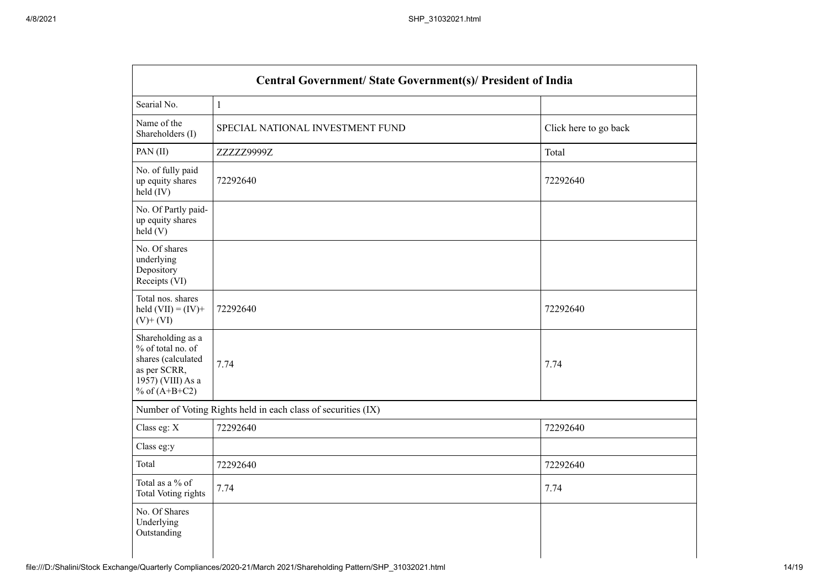| <b>Central Government/ State Government(s)/ President of India</b>                                                   |                                                               |                       |  |
|----------------------------------------------------------------------------------------------------------------------|---------------------------------------------------------------|-----------------------|--|
| Searial No.                                                                                                          | $\,1\,$                                                       |                       |  |
| Name of the<br>Shareholders (I)                                                                                      | SPECIAL NATIONAL INVESTMENT FUND                              | Click here to go back |  |
| PAN(II)                                                                                                              | ZZZZZ9999Z                                                    | Total                 |  |
| No. of fully paid<br>up equity shares<br>$\text{held}(\text{IV})$                                                    | 72292640                                                      | 72292640              |  |
| No. Of Partly paid-<br>up equity shares<br>held(V)                                                                   |                                                               |                       |  |
| No. Of shares<br>underlying<br>Depository<br>Receipts (VI)                                                           |                                                               |                       |  |
| Total nos. shares<br>held $(VII) = (IV) +$<br>$(V)$ + $(VI)$                                                         | 72292640                                                      | 72292640              |  |
| Shareholding as a<br>% of total no. of<br>shares (calculated<br>as per SCRR,<br>1957) (VIII) As a<br>% of $(A+B+C2)$ | 7.74                                                          | 7.74                  |  |
|                                                                                                                      | Number of Voting Rights held in each class of securities (IX) |                       |  |
| Class eg: X                                                                                                          | 72292640                                                      | 72292640              |  |
| Class eg:y                                                                                                           |                                                               |                       |  |
| Total                                                                                                                | 72292640                                                      | 72292640              |  |
| Total as a % of<br>Total Voting rights                                                                               | 7.74                                                          | 7.74                  |  |
| No. Of Shares<br>Underlying<br>Outstanding                                                                           |                                                               |                       |  |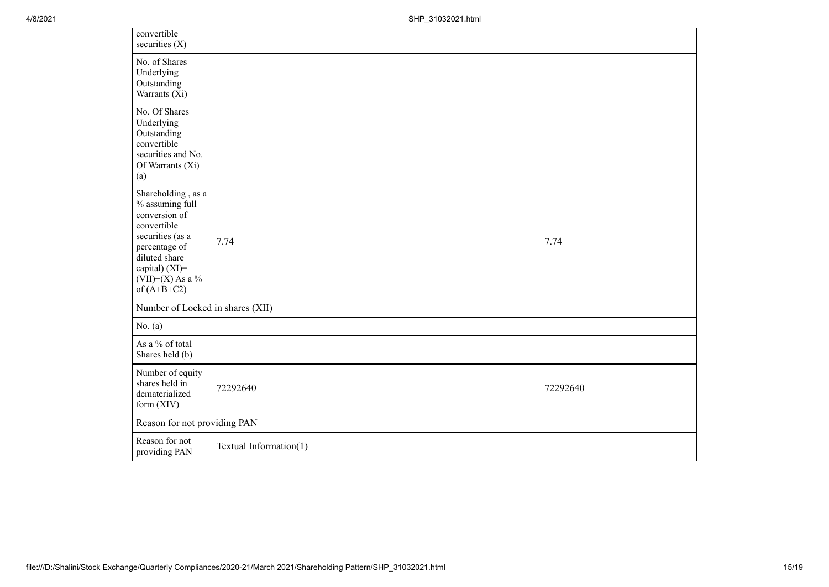| convertible<br>securities $(X)$                                                                                                                                                      |                        |          |  |
|--------------------------------------------------------------------------------------------------------------------------------------------------------------------------------------|------------------------|----------|--|
| No. of Shares<br>Underlying<br>Outstanding<br>Warrants (Xi)                                                                                                                          |                        |          |  |
| No. Of Shares<br>Underlying<br>Outstanding<br>convertible<br>securities and No.<br>Of Warrants (Xi)<br>(a)                                                                           |                        |          |  |
| Shareholding, as a<br>% assuming full<br>conversion of<br>convertible<br>securities (as a<br>percentage of<br>diluted share<br>capital) (XI)=<br>$(VII)+(X)$ As a %<br>of $(A+B+C2)$ | 7.74                   | 7.74     |  |
| Number of Locked in shares (XII)                                                                                                                                                     |                        |          |  |
| No. $(a)$                                                                                                                                                                            |                        |          |  |
| As a % of total<br>Shares held (b)                                                                                                                                                   |                        |          |  |
| Number of equity<br>shares held in<br>dematerialized<br>form (XIV)                                                                                                                   | 72292640               | 72292640 |  |
| Reason for not providing PAN                                                                                                                                                         |                        |          |  |
| Reason for not<br>providing PAN                                                                                                                                                      | Textual Information(1) |          |  |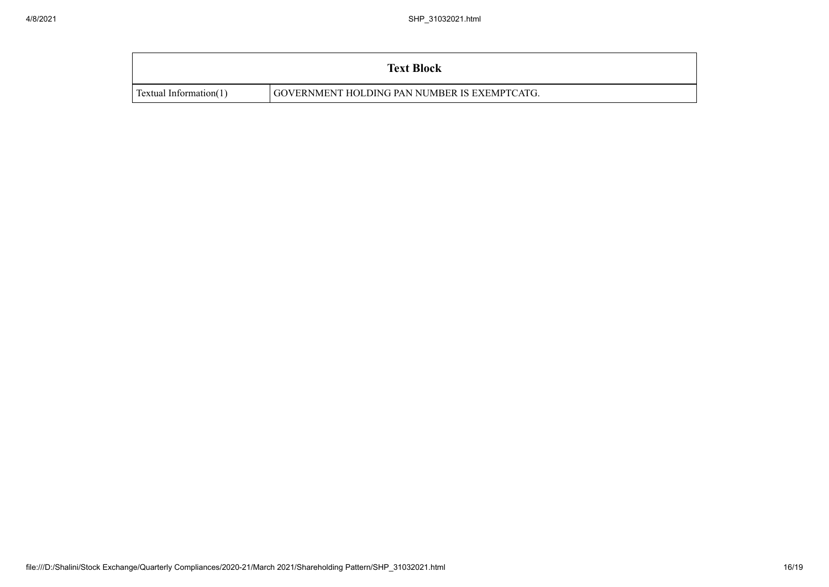| <b>Text Block</b>      |                                              |  |  |  |
|------------------------|----------------------------------------------|--|--|--|
| Textual Information(1) | GOVERNMENT HOLDING PAN NUMBER IS EXEMPTCATG. |  |  |  |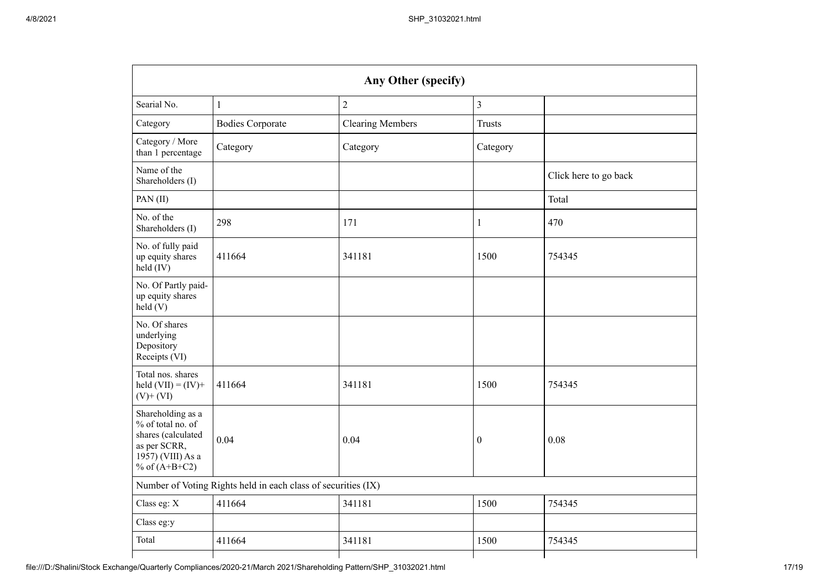| Any Other (specify)                                                                                                  |                         |                         |                  |                       |  |
|----------------------------------------------------------------------------------------------------------------------|-------------------------|-------------------------|------------------|-----------------------|--|
| Searial No.                                                                                                          | $\mathbf{1}$            | $\sqrt{2}$              | $\overline{3}$   |                       |  |
| Category                                                                                                             | <b>Bodies Corporate</b> | <b>Clearing Members</b> | <b>Trusts</b>    |                       |  |
| Category / More<br>than 1 percentage                                                                                 | Category                | Category                | Category         |                       |  |
| Name of the<br>Shareholders (I)                                                                                      |                         |                         |                  | Click here to go back |  |
| PAN $(II)$                                                                                                           |                         |                         |                  | Total                 |  |
| No. of the<br>Shareholders (I)                                                                                       | 298                     | 171                     | $\mathbf{1}$     | 470                   |  |
| No. of fully paid<br>up equity shares<br>$held$ (IV)                                                                 | 411664                  | 341181                  | 1500             | 754345                |  |
| No. Of Partly paid-<br>up equity shares<br>held $(V)$                                                                |                         |                         |                  |                       |  |
| No. Of shares<br>underlying<br>Depository<br>Receipts (VI)                                                           |                         |                         |                  |                       |  |
| Total nos. shares<br>held $(VII) = (IV) +$<br>$(V)$ + $(VI)$                                                         | 411664                  | 341181                  | 1500             | 754345                |  |
| Shareholding as a<br>% of total no. of<br>shares (calculated<br>as per SCRR,<br>1957) (VIII) As a<br>% of $(A+B+C2)$ | 0.04                    | 0.04                    | $\boldsymbol{0}$ | 0.08                  |  |
| Number of Voting Rights held in each class of securities (IX)                                                        |                         |                         |                  |                       |  |
| Class eg: X                                                                                                          | 411664                  | 341181                  | 1500             | 754345                |  |
| Class eg:y                                                                                                           |                         |                         |                  |                       |  |
| Total                                                                                                                | 411664                  | 341181                  | 1500             | 754345                |  |